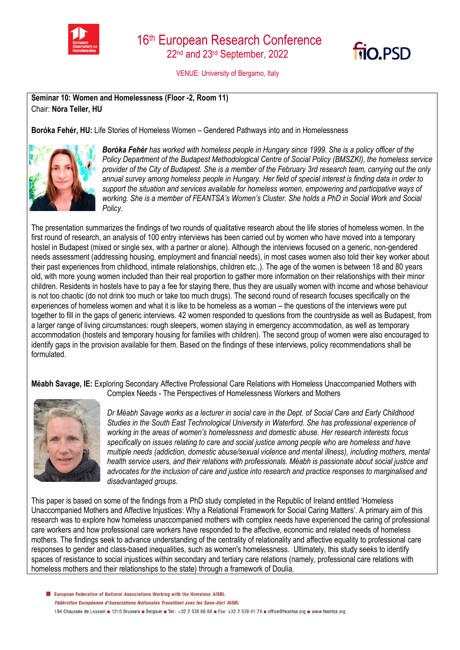



VENUE: University of Bergamo, Italy

**Seminar 10: Women and Homelessness (Floor -2, Room 11)** Chair: **Nóra Teller, HU**

**Boróka Fehér, HU:** Life Stories of Homeless Women – Gendered Pathways into and in Homelessness



*Boróka Fehér has worked with homeless people in Hungary since 1999. She is a policy officer of the Policy Department of the Budapest Methodological Centre of Social Policy (BMSZKI), the homeless service provider of the City of Budapest. She is a member of the February 3rd research team, carrying out the only annual survey among homeless people in Hungary. Her field of special interest is finding data in order to support the situation and services available for homeless women, empowering and participative ways of working. She is a member of FEANTSA's Women's Cluster. She holds a PhD in Social Work and Social Policy.*

The presentation summarizes the findings of two rounds of qualitative research about the life stories of homeless women. In the first round of research, an analysis of 100 entry interviews has been carried out by women who have moved into a temporary hostel in Budapest (mixed or single sex, with a partner or alone). Although the interviews focused on a generic, non-gendered needs assessment (addressing housing, employment and financial needs), in most cases women also told their key worker about their past experiences from childhood, intimate relationships, children etc..). The age of the women is between 18 and 80 years old, with more young women included than their real proportion to gather more information on their relationships with their minor children. Residents in hostels have to pay a fee for staying there, thus they are usually women with income and whose behaviour is not too chaotic (do not drink too much or take too much drugs). The second round of research focuses specifically on the experiences of homeless women and what it is like to be homeless as a woman – the questions of the interviews were put together to fill in the gaps of generic interviews. 42 women responded to questions from the countryside as well as Budapest, from a larger range of living circumstances: rough sleepers, women staying in emergency accommodation, as well as temporary accommodation (hostels and temporary housing for families with children). The second group of women were also encouraged to identify gaps in the provision available for them. Based on the findings of these interviews, policy recommendations shall be formulated.

**Méabh Savage, IE:** Exploring Secondary Affective Professional Care Relations with Homeless Unaccompanied Mothers with



Complex Needs - The Perspectives of Homelessness Workers and Mothers

*Dr Méabh Savage works as a lecturer in social care in the Dept. of Social Care and Early Childhood Studies in the South East Technological University in Waterford. She has professional experience of working in the areas of women's homelessness and domestic abuse. Her research interests focus specifically on issues relating to care and social justice among people who are homeless and have multiple needs (addiction, domestic abuse/sexual violence and mental illness), including mothers, mental health service users, and their relations with professionals. Méabh is passionate about social justice and advocates for the inclusion of care and justice into research and practice responses to marginalised and disadvantaged groups.*

This paper is based on some of the findings from a PhD study completed in the Republic of Ireland entitled 'Homeless Unaccompanied Mothers and Affective Injustices: Why a Relational Framework for Social Caring Matters'. A primary aim of this research was to explore how homeless unaccompanied mothers with complex needs have experienced the caring of professional care workers and how professional care workers have responded to the affective, economic and related needs of homeless mothers. The findings seek to advance understanding of the centrality of relationality and affective equality to professional care responses to gender and class-based inequalities, such as women's homelessness. Ultimately, this study seeks to identify spaces of resistance to social injustices within secondary and tertiary care relations (namely, professional care relations with homeless mothers and their relationships to the state) through a framework of Doulia.

European Federation of National Associations Working with the Homeless AISBL Fédération Européenne d'Associations Nationales Travaillant avec les Sans-Abri AISBL 194 Chaussée de Louvain 1210 Brussels Belgium B Tel.: +32 2 538 66 69 B Fax: +32 2 539 41 74 B office@feantsa.org B www.feantsa.org